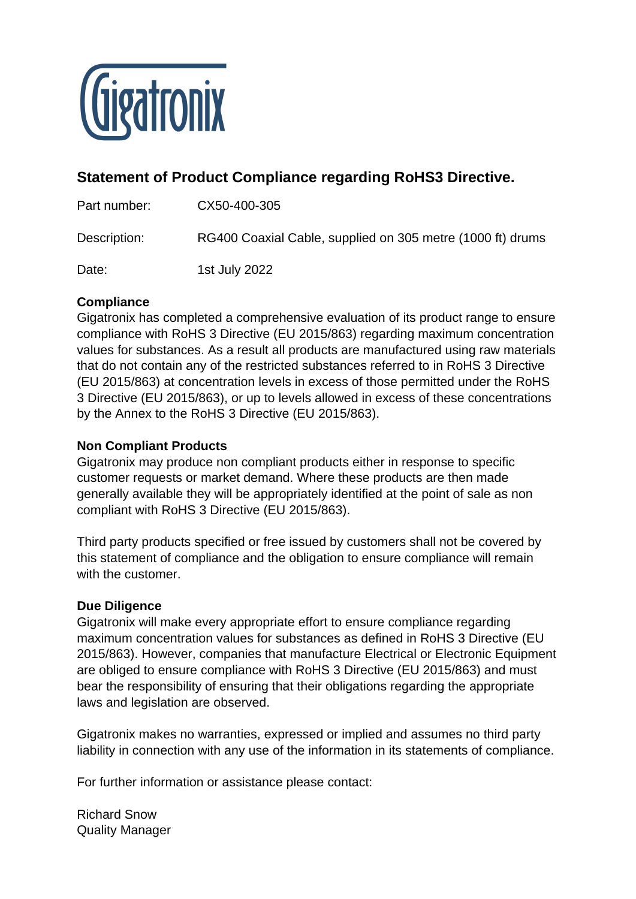

## **Statement of Product Compliance regarding RoHS3 Directive.**

Part number: CX50-400-305

Description: RG400 Coaxial Cable, supplied on 305 metre (1000 ft) drums

Date: 1st July 2022

## **Compliance**

Gigatronix has completed a comprehensive evaluation of its product range to ensure compliance with RoHS 3 Directive (EU 2015/863) regarding maximum concentration values for substances. As a result all products are manufactured using raw materials that do not contain any of the restricted substances referred to in RoHS 3 Directive (EU 2015/863) at concentration levels in excess of those permitted under the RoHS 3 Directive (EU 2015/863), or up to levels allowed in excess of these concentrations by the Annex to the RoHS 3 Directive (EU 2015/863).

## **Non Compliant Products**

Gigatronix may produce non compliant products either in response to specific customer requests or market demand. Where these products are then made generally available they will be appropriately identified at the point of sale as non compliant with RoHS 3 Directive (EU 2015/863).

Third party products specified or free issued by customers shall not be covered by this statement of compliance and the obligation to ensure compliance will remain with the customer.

## **Due Diligence**

Gigatronix will make every appropriate effort to ensure compliance regarding maximum concentration values for substances as defined in RoHS 3 Directive (EU 2015/863). However, companies that manufacture Electrical or Electronic Equipment are obliged to ensure compliance with RoHS 3 Directive (EU 2015/863) and must bear the responsibility of ensuring that their obligations regarding the appropriate laws and legislation are observed.

Gigatronix makes no warranties, expressed or implied and assumes no third party liability in connection with any use of the information in its statements of compliance.

For further information or assistance please contact:

Richard Snow Quality Manager